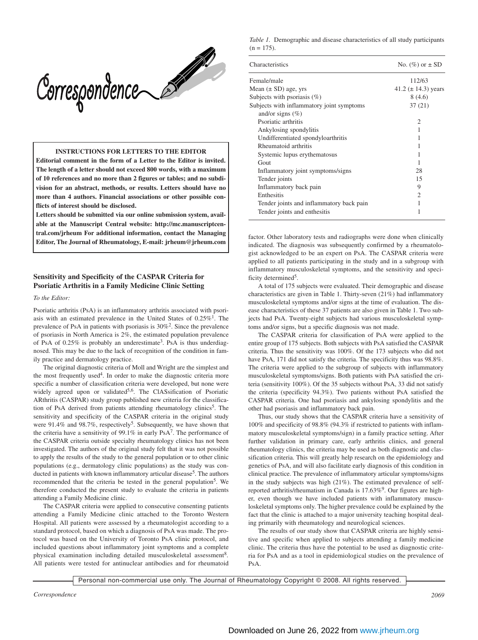

**INSTRUCTIONS FOR LETTERS TO THE EDITOR**

**Editorial comment in the form of a Letter to the Editor is invited. The length of a letter should not exceed 800 words, with a maximum of 10 references and no more than 2 figures or tables; and no subdivision for an abstract, methods, or results. Letters should have no more than 4 authors. Financial associations or other possible conflicts of interest should be disclosed.**

**Letters should be submitted via our online submission system, available at the Manuscript Central website: http://mc.manuscriptcentral.com/jrheum For additional information, contact the Managing Editor, The Journal of Rheumatology, E-mail: jrheum@jrheum.com**

# **Sensitivity and Specificity of the CASPAR Criteria for Psoriatic Arthritis in a Family Medicine Clinic Setting**

#### *To the Editor:*

Psoriatic arthritis (PsA) is an inflammatory arthritis associated with psoriasis with an estimated prevalence in the United States of  $0.25\%$ <sup>1</sup>. The prevalence of PsA in patients with psoriasis is  $30\%^2$ . Since the prevalence of psoriasis in North America is 2%, the estimated population prevalence of PsA of 0.25% is probably an underestimate<sup>3</sup>. PsA is thus underdiagnosed. This may be due to the lack of recognition of the condition in family practice and dermatology practice.

The original diagnostic criteria of Moll and Wright are the simplest and the most frequently used<sup>4</sup>. In order to make the diagnostic criteria more specific a number of classification criteria were developed, but none were widely agreed upon or validated<sup>5,6</sup>. The ClASsification of Psoriatic ARthritis (CASPAR) study group published new criteria for the classification of PsA derived from patients attending rheumatology clinics<sup>5</sup>. The sensitivity and specificity of the CASPAR criteria in the original study were 91.4% and 98.7%, respectively<sup>5</sup>. Subsequently, we have shown that the criteria have a sensitivity of 99.1% in early  $PsA<sup>7</sup>$ . The performance of the CASPAR criteria outside specialty rheumatology clinics has not been investigated. The authors of the original study felt that it was not possible to apply the results of the study to the general population or to other clinic populations (e.g., dermatology clinic populations) as the study was conducted in patients with known inflammatory articular disease<sup>5</sup>. The authors recommended that the criteria be tested in the general population<sup>5</sup>. We therefore conducted the present study to evaluate the criteria in patients attending a Family Medicine clinic.

The CASPAR criteria were applied to consecutive consenting patients attending a Family Medicine clinic attached to the Toronto Western Hospital. All patients were assessed by a rheumatologist according to a standard protocol, based on which a diagnosis of PsA was made. The protocol was based on the University of Toronto PsA clinic protocol, and included questions about inflammatory joint symptoms and a complete physical examination including detailed musculoskeletal assessment<sup>8</sup>. All patients were tested for antinuclear antibodies and for rheumatoid

*Table 1.* Demographic and disease characteristics of all study participants  $(n = 175)$ .

| Characteristics                           | No. $(\%)$ or $\pm$ SD   |
|-------------------------------------------|--------------------------|
| Female/male                               | 112/63                   |
| Mean $(\pm SD)$ age, yrs                  | 41.2 ( $\pm$ 14.3) years |
| Subjects with psoriasis $(\%)$            | 8(4.6)                   |
| Subjects with inflammatory joint symptoms | 37 (21)                  |
| and/or signs $(\%)$                       |                          |
| Psoriatic arthritis                       | $\mathfrak{D}$           |
| Ankylosing spondylitis                    |                          |
| Undifferentiated spondyloarthritis        | 1                        |
| Rheumatoid arthritis                      | 1                        |
| Systemic lupus erythematosus              |                          |
| Gout                                      |                          |
| Inflammatory joint symptoms/signs         | 28                       |
| Tender joints                             | 15                       |
| Inflammatory back pain                    | 9                        |
| Enthesitis                                | $\mathfrak{D}$           |
| Tender joints and inflammatory back pain  |                          |
| Tender joints and enthesitis              | 1                        |
|                                           |                          |

factor. Other laboratory tests and radiographs were done when clinically indicated. The diagnosis was subsequently confirmed by a rheumatologist acknowledged to be an expert on PsA. The CASPAR criteria were applied to all patients participating in the study and in a subgroup with inflammatory musculoskeletal symptoms, and the sensitivity and specificity determined<sup>5</sup>.

A total of 175 subjects were evaluated. Their demographic and disease characteristics are given in Table 1. Thirty-seven (21%) had inflammatory musculoskeletal symptoms and/or signs at the time of evaluation. The disease characteristics of these 37 patients are also given in Table 1. Two subjects had PsA. Twenty-eight subjects had various musculoskeletal symptoms and/or signs, but a specific diagnosis was not made.

The CASPAR criteria for classification of PsA were applied to the entire group of 175 subjects. Both subjects with PsA satisfied the CASPAR criteria. Thus the sensitivity was 100%. Of the 173 subjects who did not have PsA, 171 did not satisfy the criteria. The specificity thus was 98.8%. The criteria were applied to the subgroup of subjects with inflammatory musculoskeletal symptoms/signs. Both patients with PsA satisfied the criteria (sensitivity 100%). Of the 35 subjects without PsA, 33 did not satisfy the criteria (specificity 94.3%). Two patients without PsA satisfied the CASPAR criteria. One had psoriasis and ankylosing spondylitis and the other had psoriasis and inflammatory back pain.

Thus, our study shows that the CASPAR criteria have a sensitivity of 100% and specificity of 98.8% (94.3% if restricted to patients with inflammatory musculoskeletal symptoms/sign) in a family practice setting. After further validation in primary care, early arthritis clinics, and general rheumatology clinics, the criteria may be used as both diagnostic and classification criteria. This will greatly help research on the epidemiology and genetics of PsA, and will also facilitate early diagnosis of this condition in clinical practice. The prevalence of inflammatory articular symptoms/signs in the study subjects was high (21%). The estimated prevalence of selfreported arthritis/rheumatism in Canada is 17.63%<sup>9</sup>. Our figures are higher, even though we have included patients with inflammatory musculoskeletal symptoms only. The higher prevalence could be explained by the fact that the clinic is attached to a major university teaching hospital dealing primarily with rheumatology and neurological sciences.

The results of our study show that CASPAR criteria are highly sensitive and specific when applied to subjects attending a family medicine clinic. The criteria thus have the potential to be used as diagnostic criteria for PsA and as a tool in epidemiological studies on the prevalence of PsA.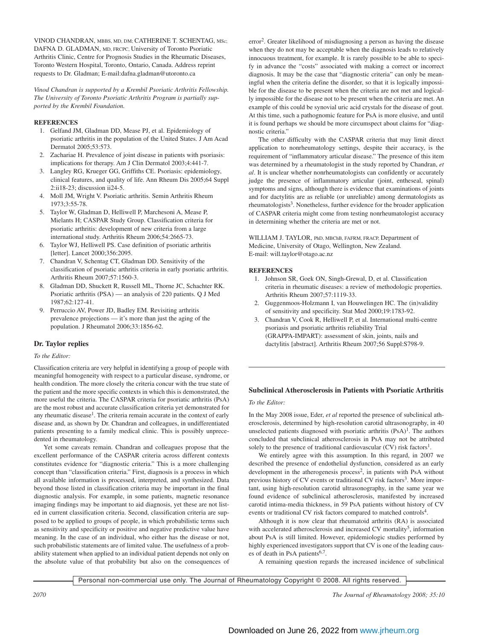VINOD CHANDRAN, MBBS, MD, DM; CATHERINE T. SCHENTAG, MSc; DAFNA D. GLADMAN, MD, FRCPC, University of Toronto Psoriatic Arthritis Clinic, Centre for Prognosis Studies in the Rheumatic Diseases, Toronto Western Hospital, Toronto, Ontario, Canada. Address reprint requests to Dr. Gladman; E-mail:dafna.gladman@utoronto.ca

*Vinod Chandran is supported by a Krembil Psoriatic Arthritis Fellowship. The University of Toronto Psoriatic Arthritis Program is partially supported by the Krembil Foundation.*

# **REFERENCES**

- 1. Gelfand JM, Gladman DD, Mease PJ, et al. Epidemiology of psoriatic arthritis in the population of the United States. J Am Acad Dermatol 2005;53:573.
- 2. Zachariae H. Prevalence of joint disease in patients with psoriasis: implications for therapy. Am J Clin Dermatol 2003;4:441-7.
- 3. Langley RG, Krueger GG, Griffiths CE. Psoriasis: epidemiology, clinical features, and quality of life. Ann Rheum Dis 2005;64 Suppl 2:ii18-23; discussion ii24-5.
- 4. Moll JM, Wright V. Psoriatic arthritis. Semin Arthritis Rheum 1973;3:55-78.
- 5. Taylor W, Gladman D, Helliwell P, Marchesoni A, Mease P, Mielants H; CASPAR Study Group. Classification criteria for psoriatic arthritis: development of new criteria from a large international study. Arthritis Rheum 2006;54:2665-73.
- 6. Taylor WJ, Helliwell PS. Case definition of psoriatic arthritis [letter]. Lancet 2000;356:2095.
- 7. Chandran V, Schentag CT, Gladman DD. Sensitivity of the classification of psoriatic arthritis criteria in early psoriatic arthritis. Arthritis Rheum 2007;57:1560-3.
- 8. Gladman DD, Shuckett R, Russell ML, Thorne JC, Schachter RK. Psoriatic arthritis (PSA) — an analysis of 220 patients. Q J Med 1987;62:127-41.
- 9. Perruccio AV, Power JD, Badley EM. Revisiting arthritis prevalence projections — it's more than just the aging of the population. J Rheumatol 2006;33:1856-62.

# **Dr. Taylor replies**

# *To the Editor:*

Classification criteria are very helpful in identifying a group of people with meaningful homogeneity with respect to a particular disease, syndrome, or health condition. The more closely the criteria concur with the true state of the patient and the more specific contexts in which this is demonstrated, the more useful the criteria. The CASPAR criteria for psoriatic arthritis (PsA) are the most robust and accurate classification criteria yet demonstrated for any rheumatic disease<sup>1</sup>. The criteria remain accurate in the context of early disease and, as shown by Dr. Chandran and colleagues, in undifferentiated patients presenting to a family medical clinic. This is possibly unprecedented in rheumatology.

Yet some caveats remain. Chandran and colleagues propose that the excellent performance of the CASPAR criteria across different contexts constitutes evidence for "diagnostic criteria." This is a more challenging concept than "classification criteria." First, diagnosis is a process in which all available information is processed, interpreted, and synthesized. Data beyond those listed in classification criteria may be important in the final diagnostic analysis. For example, in some patients, magnetic resonance imaging findings may be important to aid diagnosis, yet these are not listed in current classification criteria. Second, classification criteria are supposed to be applied to groups of people, in which probabilistic terms such as sensitivity and specificity or positive and negative predictive value have meaning. In the case of an individual, who either has the disease or not, such probabilistic statements are of limited value. The usefulness of a probability statement when applied to an individual patient depends not only on the absolute value of that probability but also on the consequences of

error2. Greater likelihood of misdiagnosing a person as having the disease when they do not may be acceptable when the diagnosis leads to relatively innocuous treatment, for example. It is rarely possible to be able to specify in advance the "costs" associated with making a correct or incorrect diagnosis. It may be the case that "diagnostic criteria" can only be meaningful when the criteria define the disorder, so that it is logically impossible for the disease to be present when the criteria are not met and logically impossible for the disease not to be present when the criteria are met. An example of this could be synovial uric acid crystals for the disease of gout. At this time, such a pathognomic feature for PsA is more elusive, and until it is found perhaps we should be more circumspect about claims for "diagnostic criteria."

The other difficulty with the CASPAR criteria that may limit direct application to nonrheumatology settings, despite their accuracy, is the requirement of "inflammatory articular disease." The presence of this item was determined by a rheumatologist in the study reported by Chandran, *et al*. It is unclear whether nonrheumatologists can confidently or accurately judge the presence of inflammatory articular (joint, entheseal, spinal) symptoms and signs, although there is evidence that examinations of joints and for dactylitis are as reliable (or unreliable) among dermatologists as rheumatologists<sup>3</sup>. Nonetheless, further evidence for the broader application of CASPAR criteria might come from testing nonrheumatologist accuracy in determining whether the criteria are met or not.

WILLIAM J. TAYLOR, PhD, MBChB, FAFRM, FRACP, Department of Medicine, University of Otago, Wellington, New Zealand. E-mail: will.taylor@otago.ac.nz

# **REFERENCES**

- 1. Johnson SR, Goek ON, Singh-Grewal, D, et al. Classification criteria in rheumatic diseases: a review of methodologic properties. Arthritis Rheum 2007;57:1119-33.
- 2. Guggenmoos-Holzmann I, van Houwelingen HC. The (in)validity of sensitivity and specificity. Stat Med 2000;19:1783-92.
- 3. Chandran V, Cook R, Helliwell P, et al. International multi-centre psoriasis and psoriatic arthritis reliability Trial (GRAPPA-IMPART): assessment of skin, joints, nails and dactylitis [abstract]. Arthritis Rheum 2007;56 Suppl:S798-9.

# **Subclinical Atherosclerosis in Patients with Psoriatic Arthritis**

*To the Editor:*

In the May 2008 issue, Eder, *et al* reported the presence of subclinical atherosclerosis, determined by high-resolution carotid ultrasonography, in 40 unselected patients diagnosed with psoriatic arthritis  $(PsA)^{1}$ . The authors concluded that subclinical atherosclerosis in PsA may not be attributed solely to the presence of traditional cardiovascular  $(CV)$  risk factors<sup>1</sup>.

We entirely agree with this assumption. In this regard, in 2007 we described the presence of endothelial dysfunction, considered as an early development in the atherogenesis process<sup>2</sup>, in patients with PsA without previous history of CV events or traditional CV risk factors<sup>3</sup>. More important, using high-resolution carotid ultrasonography, in the same year we found evidence of subclinical atherosclerosis, manifested by increased carotid intima-media thickness, in 59 PsA patients without history of CV events or traditional CV risk factors compared to matched controls<sup>4</sup>.

Although it is now clear that rheumatoid arthritis (RA) is associated with accelerated atherosclerosis and increased CV mortality<sup>5</sup>, information about PsA is still limited. However, epidemiologic studies performed by highly experienced investigators support that CV is one of the leading causes of death in PsA patients<sup>6,7</sup>.

A remaining question regards the increased incidence of subclinical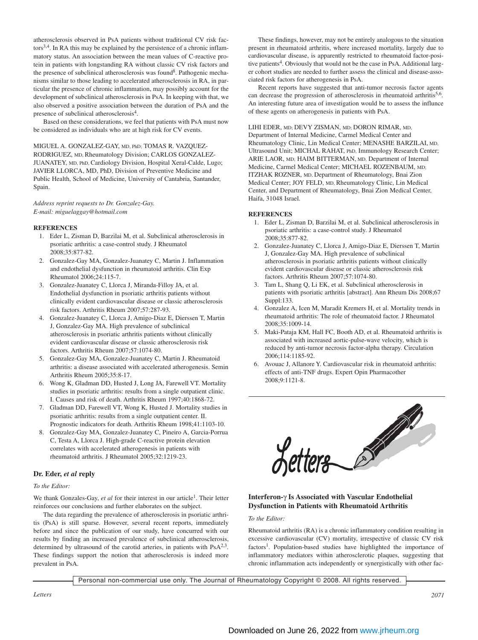atherosclerosis observed in PsA patients without traditional CV risk factors<sup>3,4</sup>. In RA this may be explained by the persistence of a chronic inflammatory status. An association between the mean values of C-reactive protein in patients with longstanding RA without classic CV risk factors and the presence of subclinical atherosclerosis was found<sup>8</sup>. Pathogenic mechanisms similar to those leading to accelerated atherosclerosis in RA, in particular the presence of chronic inflammation, may possibly account for the development of subclinical atherosclerosis in PsA. In keeping with that, we also observed a positive association between the duration of PsA and the presence of subclinical atherosclerosis<sup>4</sup>.

Based on these considerations, we feel that patients with PsA must now be considered as individuals who are at high risk for CV events.

MIGUEL A. GONZALEZ-GAY, MD, PhD; TOMAS R. VAZQUEZ-RODRIGUEZ, MD, Rheumatology Division; CARLOS GONZALEZ-JUANATEY, MD, PhD, Cardiology Division, Hospital Xeral-Calde, Lugo; JAVIER LLORCA, MD, PhD, Division of Preventive Medicine and Public Health, School of Medicine, University of Cantabria, Santander, Spain.

*Address reprint requests to Dr. Gonzalez-Gay. E-mail: miguelaggay@hotmail.com*

#### **REFERENCES**

- 1. Eder L, Zisman D, Barzilai M, et al. Subclinical atherosclerosis in psoriatic arthritis: a case-control study. J Rheumatol 2008;35:877-82.
- 2. Gonzalez-Gay MA, Gonzalez-Juanatey C, Martin J. Inflammation and endothelial dysfunction in rheumatoid arthritis. Clin Exp Rheumatol 2006;24:115-7.
- 3. Gonzalez-Juanatey C, Llorca J, Miranda-Filloy JA, et al. Endothelial dysfunction in psoriatic arthritis patients without clinically evident cardiovascular disease or classic atherosclerosis risk factors. Arthritis Rheum 2007;57:287-93.
- 4. Gonzalez-Juanatey C, Llorca J, Amigo-Diaz E, Dierssen T, Martin J, Gonzalez-Gay MA. High prevalence of subclinical atherosclerosis in psoriatic arthritis patients without clinically evident cardiovascular disease or classic atherosclerosis risk factors. Arthritis Rheum 2007;57:1074-80.
- 5. Gonzalez-Gay MA, Gonzalez-Juanatey C, Martin J. Rheumatoid arthritis: a disease associated with accelerated atherogenesis. Semin Arthritis Rheum 2005;35:8-17.
- 6. Wong K, Gladman DD, Husted J, Long JA, Farewell VT. Mortality studies in psoriatic arthritis: results from a single outpatient clinic. I. Causes and risk of death. Arthritis Rheum 1997;40:1868-72.
- 7. Gladman DD, Farewell VT, Wong K, Husted J. Mortality studies in psoriatic arthritis: results from a single outpatient center. II. Prognostic indicators for death. Arthritis Rheum 1998;41:1103-10.
- 8. Gonzalez-Gay MA, Gonzalez-Juanatey C, Pineiro A, Garcia-Porrua C, Testa A, Llorca J. High-grade C-reactive protein elevation correlates with accelerated atherogenesis in patients with rheumatoid arthritis. J Rheumatol 2005;32:1219-23.

# **Dr. Eder,** *et al* **reply**

#### *To the Editor:*

We thank Gonzales-Gay, *et al* for their interest in our article<sup>1</sup>. Their letter reinforces our conclusions and further elaborates on the subject.

The data regarding the prevalence of atherosclerosis in psoriatic arthritis (PsA) is still sparse. However, several recent reports, immediately before and since the publication of our study, have concurred with our results by finding an increased prevalence of subclinical atherosclerosis, determined by ultrasound of the carotid arteries, in patients with  $PsA^{2,3}$ . These findings support the notion that atherosclerosis is indeed more prevalent in PsA.

These findings, however, may not be entirely analogous to the situation present in rheumatoid arthritis, where increased mortality, largely due to cardiovascular disease, is apparently restricted to rheumatoid factor-positive patients<sup>4</sup>. Obviously that would not be the case in PsA. Additional larger cohort studies are needed to further assess the clinical and disease-associated risk factors for atherogenesis in PsA.

Recent reports have suggested that anti-tumor necrosis factor agents can decrease the progression of atherosclerosis in rheumatoid arthritis<sup>5,6</sup>. An interesting future area of investigation would be to assess the influnce of these agents on atherogenesis in patients with PsA.

LIHI EDER, MD; DEVY ZISMAN, MD; DORON RIMAR, MD, Department of Internal Medicine, Carmel Medical Center and Rheumatology Clinic, Lin Medical Center; MENASHE BARZILAI, MD, Ultrasound Unit; MICHAL RAHAT, PhD, Immunology Research Center; ARIE LAOR, MD; HAIM BITTERMAN, MD, Department of Internal Medicine, Carmel Medical Center; MICHAEL ROZENBAUM, MD; ITZHAK ROZNER, MD, Department of Rheumatology, Bnai Zion Medical Center; JOY FELD, MD, Rheumatology Clinic, Lin Medical Center, and Department of Rheumatology, Bnai Zion Medical Center, Haifa, 31048 Israel.

# **REFERENCES**

- 1. Eder L, Zisman D, Barzilai M, et al. Subclinical atherosclerosis in psoriatic arthritis: a case-control study. J Rheumatol 2008;35:877-82.
- 2. Gonzalez-Juanatey C, Llorca J, Amigo-Diaz E, Dierssen T, Martin J, Gonzalez-Gay MA. High prevalence of subclinical atherosclerosis in psoriatic arthritis patients without clinically evident cardiovascular disease or classic atherosclerosis risk factors. Arthritis Rheum 2007;57:1074-80.
- 3. Tam L, Shang Q, Li EK, et al. Subclinical atherosclerosis in patients with psoriatic arthritis [abstract]. Ann Rheum Dis 2008;67 Suppl:133.
- 4. Gonzalez A, Icen M, Maradit Kremers H, et al. Mortality trends in rheumatoid arthritis: The role of rheumatoid factor. J Rheumatol 2008;35:1009-14.
- 5. Maki-Pataja KM, Hall FC, Booth AD, et al. Rheumatoid arthritis is associated with increased aortic-pulse-wave velocity, which is reduced by anti-tumor necrosis factor-alpha therapy. Circulation 2006;114:1185-92.
- 6. Avouac J, Allanore Y. Cardiovascular risk in rheumatoid arthritis: effects of anti-TNF drugs. Expert Opin Pharmacother 2008;9:1121-8.



# **Interferon-**γ **Is Associated with Vascular Endothelial Dysfunction in Patients with Rheumatoid Arthritis**

# *To the Editor:*

Rheumatoid arthritis (RA) is a chronic inflammatory condition resulting in excessive cardiovascular (CV) mortality, irrespective of classic CV risk factors<sup>1</sup>. Population-based studies have highlighted the importance of inflammatory mediators within atherosclerotic plaques, suggesting that chronic inflammation acts independently or synergistically with other fac-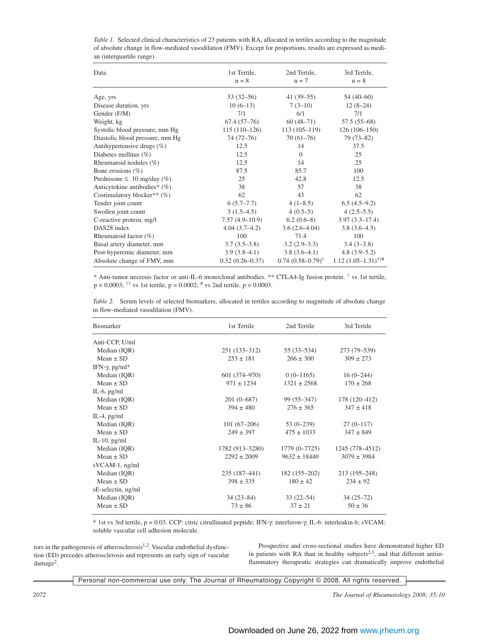| Data                            | 1st Tertile,<br>$n = 8$ | 2nd Tertile,<br>$n = 7$     | 3rd Tertile,<br>$n = 8$ |
|---------------------------------|-------------------------|-----------------------------|-------------------------|
| Age, yrs                        | $53(32-56)$             | $41(39-55)$                 | $54(40-60)$             |
| Disease duration, yrs           | $10(6-13)$              | $7(3-10)$                   | $12(8-24)$              |
| Gender (F/M)                    | 7/1                     | 6/1                         | 7/1                     |
| Weight, kg                      | $67.4(57-76)$           | $60(48-71)$                 | $57.5(55-68)$           |
| Systolic blood pressure, mm Hg  | $115(110-126)$          | $113(105-119)$              | $126(106-150)$          |
| Diastolic blood pressure, mm Hg | 74 (72–76)              | $70(61-76)$                 | $79(73-82)$             |
| Antihypertensive drugs (%)      | 12.5                    | 14                          | 37.5                    |
| Diabetes mellitus $(\% )$       | 12.5                    | $\Omega$                    | 25                      |
| Rheumatoid nodules $(\%)$       | 12.5                    | 14                          | 25                      |
| Bone erosions $(\% )$           | 87.5                    | 85.7                        | 100                     |
| Prednisone $\leq 10$ mg/day (%) | 25                      | 42.8                        | 12.5                    |
| Anticytokine antibodies* (%)    | 38                      | 57                          | 38                      |
| Costimulatory blocker** $(\%)$  | 62                      | 43                          | 62                      |
| Tender joint count              | $6(5.7-7.7)$            | $4(1-8.5)$                  | $6.5(4.5-9.2)$          |
| Swollen joint count             | $3(1.5-4.5)$            | $4(0.5-5)$                  | $4(2.5-5.5)$            |
| C-reactive protein, mg/l        | $7.57(4.9-10.9)$        | $6.2(0.6-8)$                | $3.97(3.3 - 17.4)$      |
| DAS28 index                     | $4.04(3.7-4.2)$         | $3.6(2.6-4.04)$             | $3.8(3.6-4.5)$          |
| Rheumatoid factor $(\%)$        | 100                     | 71.4                        | 100                     |
| Basal artery diameter, mm       | $3.7(3.5-3.8)$          | $3.2(2.9-3.3)$              | $3.4(3-3.8)$            |
| Post-hyperemic diameter, mm     | $3.9(3.8-4.1)$          | $3.8(3.6-4.1)$              | $4.8(3.9-5.2)$          |
| Absolute change of FMV, mm      | $0.32(0.26 - 0.37)$     | $0.74(0.58-0.79)^{\dagger}$ | $1.12(1.05-1.31)^{+4}$  |

| Table 1. Selected clinical characteristics of 23 patients with RA, allocated in tertiles according to the magnitude |
|---------------------------------------------------------------------------------------------------------------------|
| of absolute change in flow-mediated vasodilation (FMV). Except for proportions, results are expressed as medi-      |
| an (interquartile range).                                                                                           |

\* Anti-tumor necrosis factor or anti-IL-6 monoclonal antibodies. \*\* CTLA4-Ig fusion protein. † vs 1st tertile,  $p = 0.0003$ ; <sup>††</sup> vs 1st tertile,  $p = 0.0002$ ; <sup>#</sup> vs 2nd tertile,  $p = 0.0003$ .

| Table 2. Serum levels of selected biomarkers, allocated in tertiles according to magnitude of absolute change |  |  |  |
|---------------------------------------------------------------------------------------------------------------|--|--|--|
| in flow-mediated vasodilation (FMV).                                                                          |  |  |  |

| <b>Biomarker</b>   | 1st Tertile     | 2nd Tertile      | 3rd Tertile     |
|--------------------|-----------------|------------------|-----------------|
| Anti-CCP, U/ml     |                 |                  |                 |
| Median (IQR)       | $251(133-312)$  | 55 (33–534)      | 273 (79-539)    |
| $Mean \pm SD$      | $253 \pm 181$   | $266 \pm 300$    | $309 \pm 273$   |
| IFN-γ, pg/ml*      |                 |                  |                 |
| Median (IQR)       | 601 (374–970)   | $0(0-1165)$      | $16(0-244)$     |
| Mean $\pm$ SD      | $971 \pm 1234$  | $1321 \pm 2568$  | $170 \pm 268$   |
| $IL-6$ , $pg/ml$   |                 |                  |                 |
| Median (IQR)       | $201(0-687)$    | $99(55 - 347)$   | 178 (120–412)   |
| Mean $\pm$ SD      | $394 \pm 480$   | $276 \pm 365$    | $347 \pm 418$   |
| IL-4, $pg/ml$      |                 |                  |                 |
| Median (IQR)       | $101(67-206)$   | $53(0-239)$      | $27(0-117)$     |
| Mean $\pm$ SD      | $249 \pm 397$   | $475 \pm 1033$   | $347 \pm 849$   |
| IL-10, $pg/ml$     |                 |                  |                 |
| Median (IQR)       | 1782 (913-3280) | 1779 (0-7725)    | 1245 (778-4512) |
| $Mean + SD$        | $2292 \pm 2009$ | $9632 \pm 18440$ | $3079 \pm 3984$ |
| sVCAM-1, ng/ml     |                 |                  |                 |
| Median (IQR)       | 235 (187–441)   | $182(155-202)$   | 213 (195–248)   |
| $Mean \pm SD$      | $398 \pm 335$   | $180 \pm 42$     | $234 \pm 92$    |
| sE-selectin, ng/ml |                 |                  |                 |
| Median (IQR)       | $34(23-84)$     | $33(22 - 54)$    | $34(25-72)$     |
| $Mean \pm SD$      | $73 \pm 86$     | $37 \pm 21$      | $50 \pm 36$     |

\* 1st vs 3rd tertile, p = 0.03. CCP: citric citrullinated peptide; IFN-γ: interferon-γ; IL-6: interleukin 6; sVCAM: soluble vascular cell adhesion molecule.

tors in the pathogenesis of atherosclerosis $1,2$ . Vascular endothelial dysfunction (ED) precedes atherosclerosis and represents an early sign of vascular damage<sup>2</sup>.

Prospective and cross-sectional studies have demonstrated higher ED in patients with RA than in healthy subjects<sup>2,3</sup>, and that different antiinflammatory therapeutic strategies can dramatically improve endothelial

Personal non-commercial use only. The Journal of Rheumatology Copyright © 2008. All rights reserved.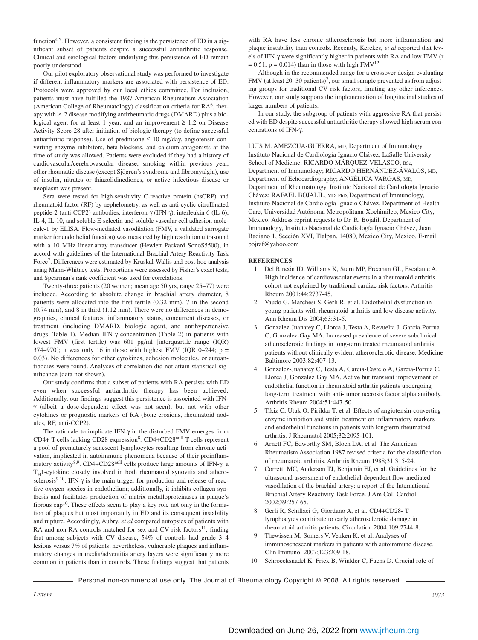function<sup>4,5</sup>. However, a consistent finding is the persistence of ED in a significant subset of patients despite a successful antiarthritic response. Clinical and serological factors underlying this persistence of ED remain poorly understood.

Our pilot exploratory observational study was performed to investigate if different inflammatory markers are associated with persistence of ED. Protocols were approved by our local ethics committee. For inclusion, patients must have fulfilled the 1987 American Rheumatism Association (American College of Rheumatology) classification criteria for RA<sup>6</sup>, therapy with  $\geq 2$  disease modifying antirheumatic drugs (DMARD) plus a biological agent for at least 1 year, and an improvement  $\geq 1.2$  on Disease Activity Score-28 after initiation of biologic therapy (to define successful antiarthritic response). Use of prednisone  $\leq 10$  mg/day, angiotensin-converting enzyme inhibitors, beta-blockers, and calcium-antagonists at the time of study was allowed. Patients were excluded if they had a history of cardiovascular/cerebrovascular disease, smoking within previous year, other rheumatic disease (except Sjögren's syndrome and fibromyalgia), use of insulin, nitrates or thiazolidinediones, or active infectious disease or neoplasm was present.

Sera were tested for high-sensitivity C-reactive protein (hsCRP) and rheumatoid factor (RF) by nephelometry, as well as anti-cyclic citrullinated peptide-2 (anti-CCP2) antibodies, interferon-γ (IFN-γ), interleukin 6 (IL-6), IL-4, IL-10, and soluble E-selectin and soluble vascular cell adhesion molecule-1 by ELISA. Flow-mediated vasodilation (FMV, a validated surrogate marker for endothelial function) was measured by high resolution ultrasound with a 10 MHz linear-array transducer (Hewlett Packard SonoS5500), in accord with guidelines of the International Brachial Artery Reactivity Task Force7. Differences were estimated by Kruskal-Wallis and post-hoc analysis using Mann-Whitney tests. Proportions were assessed by Fisher's exact tests, and Spearman's rank coefficient was used for correlations.

Twenty-three patients (20 women; mean age 50 yrs, range 25–77) were included. According to absolute change in brachial artery diameter, 8 patients were allocated into the first tertile (0.32 mm), 7 in the second (0.74 mm), and 8 in third (1.12 mm). There were no differences in demographics, clinical features, inflammatory status, concurrent diseases, or treatment (including DMARD, biologic agent, and antihypertensive drugs; Table 1). Median IFN-γ concentration (Table 2) in patients with lowest FMV (first tertile) was 601 pg/ml [interquartile range (IQR) 374–970]; it was only 16 in those with highest FMV (IQR 0–244;  $p =$ 0.03). No differences for other cytokines, adhesion molecules, or autoantibodies were found. Analyses of correlation did not attain statistical significance (data not shown).

Our study confirms that a subset of patients with RA persists with ED even when successful antiarthritic therapy has been achieved. Additionally, our findings suggest this persistence is associated with IFNγ (albeit a dose-dependent effect was not seen), but not with other cytokines or prognostic markers of RA (bone erosions, rheumatoid nodules, RF, anti-CCP2).

The rationale to implicate IFN- $\gamma$  in the disturbed FMV emerges from CD4+ T-cells lacking CD28 expression<sup>8</sup>. CD4+CD28<sup>null</sup> T-cells represent a pool of prematurely senescent lymphocytes resulting from chronic activation, implicated in autoimmune phenomena because of their proinflammatory activity<sup>8,9</sup>. CD4+CD28<sup>null</sup> cells produce large amounts of IFN-γ, a  $T_H$ 1-cytokine closely involved in both rheumatoid synovitis and atherosclerosis $9,10$ . IFN- $\gamma$  is the main trigger for production and release of reactive oxygen species in endothelium; additionally, it inhibits collagen synthesis and facilitates production of matrix metalloproteinases in plaque's fibrous cap10. These effects seem to play a key role not only in the formation of plaques but most importantly in ED and its consequent instability and rupture. Accordingly, Aubry, *et al* compared autopsies of patients with RA and non-RA controls matched for sex and CV risk factors<sup>11</sup>, finding that among subjects with CV disease, 54% of controls had grade 3–4 lesions versus 7% of patients; nevertheless, vulnerable plaques and inflammatory changes in media/adventitia artery layers were significantly more common in patients than in controls. These findings suggest that patients with RA have less chronic atherosclerosis but more inflammation and plaque instability than controls. Recently, Kerekes, *et al* reported that levels of IFN-γ were significantly higher in patients with RA and low FMV (r  $= 0.51$ , p = 0.014) than in those with high FMV<sup>12</sup>.

Although in the recommended range for a crossover design evaluating FMV (at least  $20-30$  patients)<sup>7</sup>, our small sample prevented us from adjusting groups for traditional CV risk factors, limiting any other inferences. However, our study supports the implementation of longitudinal studies of larger numbers of patients.

In our study, the subgroup of patients with aggressive RA that persisted with ED despite successful antiarthritic therapy showed high serum concentrations of IFN-γ.

LUIS M. AMEZCUA-GUERRA, MD, Department of Immunology, Instituto Nacional de Cardiología Ignacio Chávez, LaSalle University School of Medicine; RICARDO MÁROUEZ-VELASCO, BSc. Department of Immunology; RICARDO HERNÁNDEZ-ÁVALOS, MD, Department of Echocardiography; ANGÉLICA VARGAS, MD, Department of Rheumatology, Instituto Nacional de Cardiología Ignacio Chávez; RAFAEL BOJALIL, MD, PhD, Department of Immunology, Instituto Nacional de Cardiología Ignacio Chávez, Department of Health Care, Universidad Autónoma Metropolitana-Xochimilco, Mexico City, Mexico. Address reprint requests to Dr. R. Bojalil, Department of Immunology, Instituto Nacional de Cardiología Ignacio Chávez, Juan Badiano 1, Sección XVI, Tlalpan, 14080, Mexico City, Mexico. E-mail: bojraf@yahoo.com

#### **REFERENCES**

- 1. Del Rincón ID, Williams K, Stern MP, Freeman GL, Escalante A. High incidence of cardiovascular events in a rheumatoid arthritis cohort not explained by traditional cardiac risk factors. Arthritis Rheum 2001;44:2737-45.
- 2. Vaudo G, Marchesi S, Gerli R, et al. Endothelial dysfunction in young patients with rheumatoid arthritis and low disease activity. Ann Rheum Dis 2004;63:31-5.
- 3. Gonzalez-Juanatey C, Llorca J, Testa A, Revuelta J, Garcia-Porrua C, Gonzalez-Gay MA. Increased prevalence of severe subclinical atherosclerotic findings in long-term treated rheumatoid arthritis patients without clinically evident atherosclerotic disease. Medicine Baltimore 2003;82:407-13.
- 4. Gonzalez-Juanatey C, Testa A, Garcia-Castelo A, Garcia-Porrua C, Llorca J, Gonzalez-Gay MA. Active but transient improvement of endothelial function in rheumatoid arthritis patients undergoing long-term treatment with anti-tumor necrosis factor alpha antibody. Arthritis Rheum 2004;51:447-50.
- 5. Tikiz C, Utuk O, Pirildar T, et al. Effects of angiotensin-converting enzyme inhibition and statin treatment on inflammatory markers and endothelial functions in patients with longterm rheumatoid arthritis. J Rheumatol 2005;32:2095-101.
- 6. Arnett FC, Edworthy SM, Bloch DA, et al. The American Rheumatism Association 1987 revised criteria for the classification of rheumatoid arthritis. Arthritis Rheum 1988;31:315-24.
- 7. Corretti MC, Anderson TJ, Benjamin EJ, et al. Guidelines for the ultrasound assessment of endothelial-dependent flow-mediated vasodilation of the brachial artery: a report of the International Brachial Artery Reactivity Task Force. J Am Coll Cardiol 2002;39:257-65.
- 8. Gerli R, Schillaci G, Giordano A, et al. CD4+CD28- T lymphocytes contribute to early atherosclerotic damage in rheumatoid arthritis patients. Circulation 2004;109:2744-8.
- Thewissen M, Somers V, Venken K, et al. Analyses of immunosenescent markers in patients with autoimmune disease. Clin Immunol 2007;123:209-18.
- 10. Schroecksnadel K, Frick B, Winkler C, Fuchs D. Crucial role of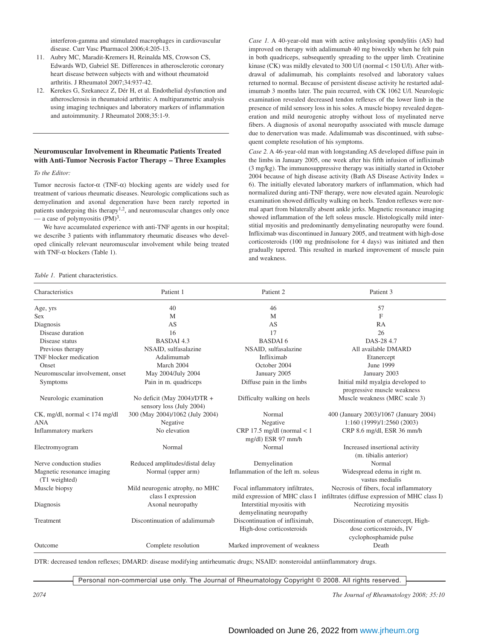interferon-gamma and stimulated macrophages in cardiovascular disease. Curr Vasc Pharmacol 2006;4:205-13.

- 11. Aubry MC, Maradit-Kremers H, Reinalda MS, Crowson CS, Edwards WD, Gabriel SE. Differences in atherosclerotic coronary heart disease between subjects with and without rheumatoid arthritis. J Rheumatol 2007;34:937-42.
- 12. Kerekes G, Szekanecz Z, Dér H, et al. Endothelial dysfunction and atherosclerosis in rheumatoid arthritis: A multiparametric analysis using imaging techniques and laboratory markers of inflammation and autoimmunity. J Rheumatol 2008;35:1-9.

# **Neuromuscular Involvement in Rheumatic Patients Treated with Anti-Tumor Necrosis Factor Therapy – Three Examples**

*To the Editor:*

Tumor necrosis factor-α (TNF-α) blocking agents are widely used for treatment of various rheumatic diseases. Neurologic complications such as demyelination and axonal degeneration have been rarely reported in patients undergoing this therapy<sup>1,2</sup>, and neuromuscular changes only once — a case of polymyositis  $(PM)^3$ .

We have accumulated experience with anti-TNF agents in our hospital; we describe 3 patients with inflammatory rheumatic diseases who developed clinically relevant neuromuscular involvement while being treated with TNF- $\alpha$  blockers (Table 1).

*Table 1.* Patient characteristics.

*Case 1.* A 40-year-old man with active ankylosing spondylitis (AS) had improved on therapy with adalimumab 40 mg biweekly when he felt pain in both quadriceps, subsequently spreading to the upper limb. Creatinine kinase (CK) was mildly elevated to 300 U/l (normal < 150 U/l). After withdrawal of adalimumab, his complaints resolved and laboratory values returned to normal. Because of persistent disease activity he restarted adalimumab 3 months later. The pain recurred, with CK 1062 U/l. Neurologic examination revealed decreased tendon reflexes of the lower limb in the presence of mild sensory loss in his soles. A muscle biopsy revealed degeneration and mild neurogenic atrophy without loss of myelinated nerve fibers. A diagnosis of axonal neuropathy associated with muscle damage due to denervation was made. Adalimumab was discontinued, with subsequent complete resolution of his symptoms.

*Case 2.* A 46-year-old man with longstanding AS developed diffuse pain in the limbs in January 2005, one week after his fifth infusion of infliximab (3 mg/kg). The immunosuppressive therapy was initially started in October 2004 because of high disease activity (Bath AS Disease Activity Index = 6). The initially elevated laboratory markers of inflammation, which had normalized during anti-TNF therapy, were now elevated again. Neurologic examination showed difficulty walking on heels. Tendon reflexes were normal apart from bilaterally absent ankle jerks. Magnetic resonance imaging showed inflammation of the left soleus muscle. Histologically mild interstitial myositis and predominantly demyelinating neuropathy were found. Infliximab was discontinued in January 2005, and treatment with high-dose corticosteroids (100 mg prednisolone for 4 days) was initiated and then gradually tapered. This resulted in marked improvement of muscle pain and weakness.

| Characteristics                             | Patient 1                                                  | Patient 2                                                         | Patient 3                                                                                  |  |  |
|---------------------------------------------|------------------------------------------------------------|-------------------------------------------------------------------|--------------------------------------------------------------------------------------------|--|--|
| Age, yrs                                    | 40                                                         | 46                                                                | 57                                                                                         |  |  |
| <b>Sex</b>                                  | M                                                          | M                                                                 | $\mathbf{F}$                                                                               |  |  |
| Diagnosis                                   | AS                                                         | AS                                                                | <b>RA</b>                                                                                  |  |  |
| Disease duration                            | 16                                                         | 17                                                                | 26                                                                                         |  |  |
| Disease status                              | <b>BASDAI 4.3</b>                                          | <b>BASDAI6</b>                                                    | DAS-28 4.7                                                                                 |  |  |
| Previous therapy                            | NSAID, sulfasalazine                                       | NSAID, sulfasalazine                                              | All available DMARD                                                                        |  |  |
| TNF blocker medication                      | Adalimumab                                                 | Infliximab                                                        | Etanercept                                                                                 |  |  |
| Onset                                       | March 2004                                                 | October 2004                                                      | June 1999                                                                                  |  |  |
| Neuromuscular involvement, onset            | May 2004/July 2004                                         | January 2005                                                      | January 2003                                                                               |  |  |
| Symptoms                                    | Pain in m. quadriceps                                      | Diffuse pain in the limbs                                         | Initial mild myalgia developed to<br>progressive muscle weakness                           |  |  |
| Neurologic examination                      | No deficit (May $2004$ )/DTR +<br>sensory loss (July 2004) | Difficulty walking on heels                                       | Muscle weakness (MRC scale 3)                                                              |  |  |
| $CK$ , mg/dl, normal $<$ 174 mg/dl          | 300 (May 2004)/1062 (July 2004)                            | Normal                                                            | 400 (January 2003)/1067 (January 2004)                                                     |  |  |
| <b>ANA</b>                                  | Negative                                                   | Negative                                                          | 1:160 (1999)/1:2560 (2003)                                                                 |  |  |
| Inflammatory markers                        | No elevation                                               | CRP 17.5 mg/dl (normal $<$ 1<br>mg/dl) ESR 97 mm/h                | CRP 8.6 mg/dl, ESR 36 mm/h                                                                 |  |  |
| Electromyogram                              | Normal                                                     | Normal                                                            | Increased insertional activity<br>(m. tibialis anterior)                                   |  |  |
| Nerve conduction studies                    | Reduced amplitudes/distal delay                            | Demyelination                                                     | Normal                                                                                     |  |  |
| Magnetic resonance imaging<br>(T1 weighted) | Normal (upper arm)                                         | Inflammation of the left m. soleus                                | Widespread edema in right m.<br>vastus medialis                                            |  |  |
| Muscle biopsy                               | Mild neurogenic atrophy, no MHC<br>class I expression      | Focal inflammatory infiltrates,<br>mild expression of MHC class I | Necrosis of fibers, focal inflammatory<br>infiltrates (diffuse expression of MHC class I)  |  |  |
| Diagnosis                                   | Axonal neuropathy                                          | Interstitial myositis with<br>demyelinating neuropathy            | Necrotizing myositis                                                                       |  |  |
| Treatment                                   | Discontinuation of adalimumab                              | Discontinuation of infliximab,<br>High-dose corticosteroids       | Discontinuation of etanercept, High-<br>dose corticosteroids, IV<br>cyclophosphamide pulse |  |  |
| Outcome                                     | Complete resolution                                        | Marked improvement of weakness                                    | Death                                                                                      |  |  |

DTR: decreased tendon reflexes; DMARD: disease modifying antirheumatic drugs; NSAID: nonsteroidal antiinflammatory drugs.

Personal non-commercial use only. The Journal of Rheumatology Copyright © 2008. All rights reserved.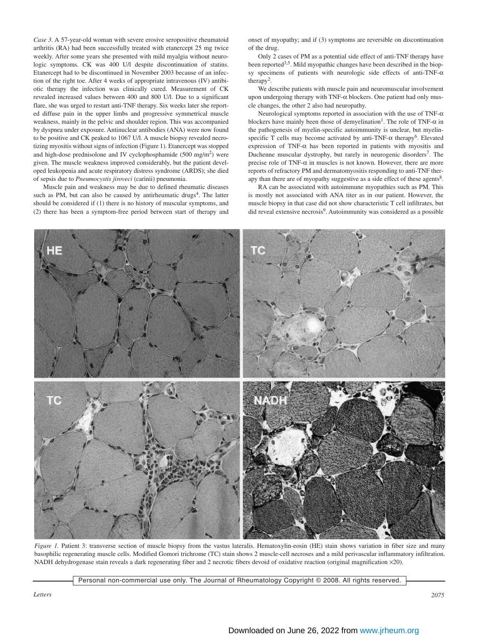*Case 3.* A 57-year-old woman with severe erosive seropositive rheumatoid arthritis (RA) had been successfully treated with etanercept 25 mg twice weekly. After some years she presented with mild myalgia without neurologic symptoms. CK was 400 U/l despite discontinuation of statins. Etanercept had to be discontinued in November 2003 because of an infection of the right toe. After 4 weeks of appropriate intravenous (IV) antibiotic therapy the infection was clinically cured. Measurement of CK revealed increased values between 400 and 800 U/l. Due to a significant flare, she was urged to restart anti-TNF therapy. Six weeks later she reported diffuse pain in the upper limbs and progressive symmetrical muscle weakness, mainly in the pelvic and shoulder region. This was accompanied by dyspnea under exposure. Antinuclear antibodies (ANA) were now found to be positive and CK peaked to 1067 U/l. A muscle biopsy revealed necrotizing myositis without signs of infection (Figure 1). Etanercept was stopped and high-dose prednisolone and IV cyclophosphamide  $(500 \text{ mg/m}^2)$  were given. The muscle weakness improved considerably, but the patient developed leukopenia and acute respiratory distress syndrome (ARDS); she died of sepsis due to *Pneumocystis jiroveci* (carinii) pneumonia.

Muscle pain and weakness may be due to defined rheumatic diseases such as PM, but can also be caused by antirheumatic drugs<sup>4</sup>. The latter should be considered if (1) there is no history of muscular symptoms, and (2) there has been a symptom-free period between start of therapy and onset of myopathy; and if (3) symptoms are reversible on discontinuation of the drug.

Only 2 cases of PM as a potential side effect of anti-TNF therapy have been reported<sup>3,5</sup>. Mild myopathic changes have been described in the biopsy specimens of patients with neurologic side effects of anti-TNF- $\alpha$ therapy2.

We describe patients with muscle pain and neuromuscular involvement upon undergoing therapy with TNF-α blockers. One patient had only muscle changes, the other 2 also had neuropathy.

Neurological symptoms reported in association with the use of TNF-α blockers have mainly been those of demyelination<sup>1</sup>. The role of TNF- $\alpha$  in the pathogenesis of myelin-specific autoimmunity is unclear, but myelinspecific T cells may become activated by anti-TNF- $\alpha$  therapy<sup>6</sup>. Elevated expression of TNF- $\alpha$  has been reported in patients with myositis and Duchenne muscular dystrophy, but rarely in neurogenic disorders<sup>7</sup>. The precise role of TNF-α in muscles is not known. However, there are more reports of refractory PM and dermatomyositis responding to anti-TNF therapy than there are of myopathy suggestive as a side effect of these agents<sup>8</sup>.

RA can be associated with autoimmune myopathies such as PM. This is mostly not associated with ANA titer as in our patient. However, the muscle biopsy in that case did not show characteristic T cell infiltrates, but did reveal extensive necrosis9. Autoimmunity was considered as a possible



*Figure 1.* Patient 3: transverse section of muscle biopsy from the vastus lateralis. Hematoxylin-eosin (HE) stain shows variation in fiber size and many basophilic regenerating muscle cells. Modified Gomori trichrome (TC) stain shows 2 muscle-cell necroses and a mild perivascular inflammatory infiltration. NADH dehydrogenase stain reveals a dark regenerating fiber and 2 necrotic fibers devoid of oxidative reaction (original magnification ×20).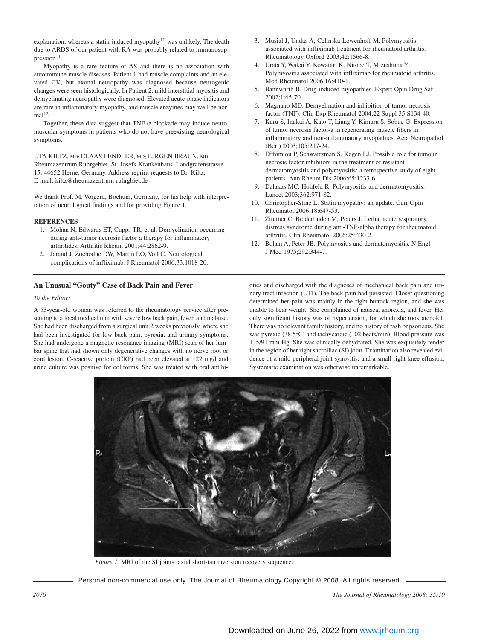explanation, whereas a statin-induced myopathy<sup>10</sup> was unlikely. The death due to ARDS of our patient with RA was probably related to immunosup $presion<sup>11</sup>$ .

Myopathy is a rare feature of AS and there is no association with autoimmune muscle diseases. Patient 1 had muscle complaints and an elevated CK, but axonal neuropathy was diagnosed because neurogenic changes were seen histologically. In Patient 2, mild interstitial myositis and demyelinating neuropathy were diagnosed. Elevated acute-phase indicators are rare in inflammatory myopathy, and muscle enzymes may well be nor $mal<sup>12</sup>$ .

Together, these data suggest that  $TNF-\alpha$  blockade may induce neuromuscular symptoms in patients who do not have preexisting neurological symptoms.

UTA KILTZ, MD; CLAAS FENDLER, MD; JURGEN BRAUN, MD, Rheumazentrum Ruhrgebiet, St. Josefs-Krankenhaus, Landgrafenstrasse 15, 44652 Herne, Germany. Address reprint requests to Dr. Kiltz. E-mail: kiltz@rheumazentrum-ruhrgbiet.de

We thank Prof. M. Vorgerd, Bochum, Germany, for his help with interpretation of neurological findings and for providing Figure 1.

#### **REFERENCES**

- 1. Mohan N, Edwards ET, Cupps TR, et al. Demyelination occurring during anti-tumor necrosis factor a therapy for inflammatory arthritides. Arthritis Rheum 2001;44:2862-9.
- 2. Jarand J, Zochodne DW, Martin LO, Voll C. Neurological complications of infliximab. J Rheumatol 2006;33:1018-20.

# **An Unusual "Gouty" Case of Back Pain and Fever**

## *To the Editor:*

A 53-year-old woman was referred to the rheumatology service after presenting to a local medical unit with severe low back pain, fever, and malaise. She had been discharged from a surgical unit 2 weeks previously, where she had been investigated for low back pain, pyrexia, and urinary symptoms. She had undergone a magnetic resonance imaging (MRI) scan of her lumbar spine that had shown only degenerative changes with no nerve root or cord lesion. C-reactive protein (CRP) had been elevated at 122 mg/l and urine culture was positive for coliforms. She was treated with oral antibi-

- 3. Musial J, Undas A, Celinska-Lowenhoff M. Polymyositis associated with infliximab treatment for rheumatoid arthritis. Rheumatology Oxford 2003;42:1566-8.
- 4. Urata Y, Wakai Y, Kowatari K, Nitobe T, Mizushima Y. Polymyositis associated with infliximab for rheumatoid arthritis. Mod Rheumatol 2006;16:410-1.
- 5. Bannwarth B. Drug-induced myopathies. Expert Opin Drug Saf 2002;1:65-70.
- 6. Magnano MD. Demyelination and inhibition of tumor necrosis factor (TNF). Clin Exp Rheumatol 2004;22 Suppl 35:S134-40.
- 7. Kuru S, Inukai A, Kato T, Liang Y, Kimura S, Sobue G. Expression of tumor necrosis factor-a in regenerating muscle fibers in inflammatory and non-inflammatory myopathies. Acta Neuropathol (Berl) 2003;105:217-24.
- 8. Efthimiou P, Schwartzman S, Kagen LJ. Possible role for tumour necrosis factor inhibitors in the treatment of resistant dermatomyositis and polymyositis: a retrospective study of eight patients. Ann Rheum Dis 2006;65:1233-6.
- 9. Dalakas MC, Hohfeld R. Polymyositis and dermatomyositis. Lancet 2003;362:971-82.
- 10. Christopher-Stine L. Statin myopathy: an update. Curr Opin Rheumatol 2006;18:647-53.
- 11. Zimmer C, Beiderlinden M, Peters J. Lethal acute respiratory distress syndrome during anti-TNF-alpha therapy for rheumatoid arthritis. Clin Rheumatol 2006;25:430-2.
- 12. Bohan A, Peter JB. Polymyositis and dermatomyositis. N Engl J Med 1975;292:344-7.

otics and discharged with the diagnoses of mechanical back pain and urinary tract infection (UTI). The back pain had persisted. Closer questioning determined her pain was mainly in the right buttock region, and she was unable to bear weight. She complained of nausea, anorexia, and fever. Her only significant history was of hypertension, for which she took atenolol. There was no relevant family history, and no history of rash or psoriasis. She was pyrexic (38.5°C) and tachycardic (102 beats/min). Blood pressure was 135/91 mm Hg. She was clinically dehydrated. She was exquisitely tender in the region of her right sacroiliac (SI) joint. Examination also revealed evidence of a mild peripheral joint synovitis, and a small right knee effusion. Systematic examination was otherwise unremarkable.



*Figure 1.* MRI of the SI joints: axial short-tau inversion recovery sequence.

Personal non-commercial use only. The Journal of Rheumatology Copyright © 2008. All rights reserved.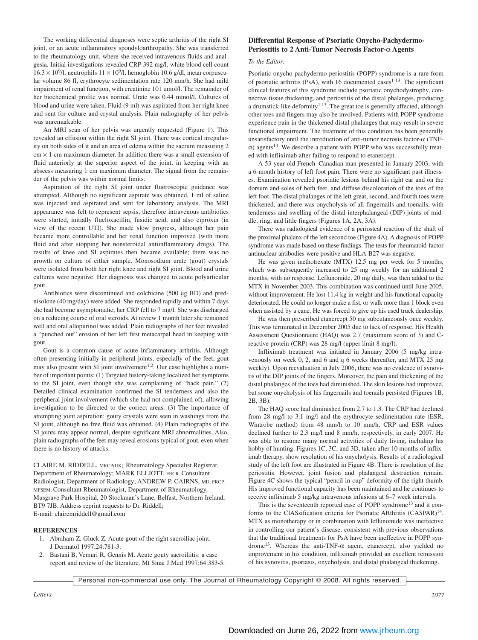The working differential diagnoses were septic arthritis of the right SI joint, or an acute inflammatory spondyloarthropathy. She was transferred to the rheumatology unit, where she received intravenous fluids and analgesia. Initial investigations revealed CRP 392 mg/l, white blood cell count  $16.3 \times 10^9$ /l, neutrophils  $11 \times 10^9$ /l, hemoglobin 10.6 g/dl, mean corpuscular volume 86 fl, erythrocyte sedimentation rate 120 mm/h. She had mild impairment of renal function, with creatinine 101 µmol/l. The remainder of her biochemical profile was normal. Urate was 0.44 mmol/l. Cultures of blood and urine were taken. Fluid (9 ml) was aspirated from her right knee and sent for culture and crystal analysis. Plain radiography of her pelvis was unremarkable.

An MRI scan of her pelvis was urgently requested (Figure 1). This revealed an effusion within the right SI joint. There was cortical irregularity on both sides of it and an area of edema within the sacrum measuring 2  $cm \times 1$  cm maximum diameter. In addition there was a small extension of fluid anteriorly at the superior aspect of the joint, in keeping with an abscess measuring 1 cm maximum diameter. The signal from the remainder of the pelvis was within normal limits.

Aspiration of the right SI joint under fluoroscopic guidance was attempted. Although no significant aspirate was obtained, 1 ml of saline was injected and aspirated and sent for laboratory analysis. The MRI appearance was felt to represent sepsis, therefore intravenous antibiotics were started, initially flucloxacillin, fusidic acid, and also ciproxin (in view of the recent UTI). She made slow progress, although her pain became more controllable and her renal function improved (with more fluid and after stopping her nonsteroidal antiinflammatory drugs). The results of knee and SI aspirates then became available; there was no growth on culture of either sample. Monosodium urate (gout) crystals were isolated from both her right knee and right SI joint. Blood and urine cultures were negative. Her diagnosis was changed to acute polyarticular gout.

Antibiotics were discontinued and colchicine (500 µg BD) and prednisolone (40 mg/day) were added. She responded rapidly and within 7 days she had become asymptomatic; her CRP fell to 7 mg/l. She was discharged on a reducing course of oral steroids. At review 1 month later she remained well and oral allopurinol was added. Plain radiographs of her feet revealed a "punched out" erosion of her left first metacarpal head in keeping with gout.

Gout is a common cause of acute inflammatory arthritis. Although often presenting initially in peripheral joints, especially of the feet, gout may also present with SI joint involvement<sup>1,2</sup>. Our case highlights a number of important points: (1) Targeted history-taking localized her symptoms to the SI joint, even though she was complaining of "back pain." (2) Detailed clinical examination confirmed the SI tenderness and also the peripheral joint involvement (which she had not complained of), allowing investigation to be directed to the correct areas. (3) The importance of attempting joint aspiration: gouty crystals were seen in washings from the SI joint, although no free fluid was obtained. (4) Plain radiographs of the SI joints may appear normal, despite significant MRI abnormalities. Also, plain radiographs of the feet may reveal erosions typical of gout, even when there is no history of attacks.

CLAIRE M. RIDDELL, MRCP(UK), Rheumatology Specialist Registrar, Department of Rheumatology; MARK ELLIOTT, FRCR, Consultant Radiologist, Department of Radiology; ANDREW P. CAIRNS, MD, FRCP, MFSEM, Consultant Rheumatologist, Department of Rheumatology, Musgrave Park Hospital, 20 Stockman's Lane, Belfast, Northern Ireland, BT9 7JB. Address reprint requests to Dr. Riddell; E-mail: clairemriddell@gmail.com

#### **REFERENCES**

- 1. Abraham Z, Gluck Z. Acute gout of the right sacroiliac joint. J Dermatol 1997;24:781-3.
- 2. Bastani B, Vemuri R, Gennis M. Acute gouty sacroiliitis: a case report and review of the literature. Mt Sinai J Med 1997;64:383-5.

# **Differential Response of Psoriatic Onycho-Pachydermo-Periostitis to 2 Anti-Tumor Necrosis Factor-**α **Agents**

#### *To the Editor:*

Psoriatic onycho-pachydermo-periostitis (POPP) syndrome is a rare form of psoriatic arthritis (PsA), with 16 documented cases<sup>1-13</sup>. The significant clinical features of this syndrome include psoriatic onychodystrophy, connective tissue thickening, and periostitis of the distal phalanges, producing a drumstick-like deformity<sup>1,13</sup>. The great toe is generally affected, although other toes and fingers may also be involved. Patients with POPP syndrome experience pain in the thickened distal phalanges that may result in severe functional impairment. The treatment of this condition has been generally unsatisfactory until the introduction of anti-tumor necrosis factor-α (TNF- $\alpha$ ) agents<sup>13</sup>. We describe a patient with POPP who was successfully treated with infliximab after failing to respond to etanercept.

A 53-year-old French–Canadian man presented in January 2003, with a 6-month history of left foot pain. There were no significant past illnesses. Examination revealed psoriatic lesions behind his right ear and on the dorsum and soles of both feet, and diffuse discoloration of the toes of the left foot. The distal phalanges of the left great, second, and fourth toes were thickened, and there was onycholysis of all fingernails and toenails, with tenderness and swelling of the distal interphalangeal (DIP) joints of middle, ring, and little fingers (Figures 1A, 2A, 3A).

There was radiological evidence of a periosteal reaction of the shaft of the proximal phalanx of the left second toe (Figure 4A). A diagnosis of POPP syndrome was made based on these findings. The tests for rheumatoid-factor antinuclear antibodies were positive and HLA-B27 was negative.

He was given methotrexate (MTX) 12.5 mg per week for 5 months, which was subsequently increased to 25 mg weekly for an additional 2 months, with no response. Leflunomide, 20 mg daily, was then added to the MTX in November 2003. This combination was continued until June 2005, without improvement. He lost 11.4 kg in weight and his functional capacity deteriorated. He could no longer make a fist, or walk more than 1 block even when assisted by a cane. He was forced to give up his used truck dealership.

He was then prescribed etanercept 50 mg subcutaneously once weekly. This was terminated in December 2005 due to lack of response. His Health Assessment Questionnaire (HAQ) was 2.7 (maximum score of 3) and Creactive protein (CRP) was 28 mg/l (upper limit 8 mg/l).

Infliximab treatment was initiated in January 2006 (5 mg/kg intravenously on week 0, 2, and 6 and q 6 weeks thereafter, and MTX 25 mg weekly). Upon reevaluation in July 2006, there was no evidence of synovitis of the DIP joints of the fingers. Moreover, the pain and thickening of the distal phalanges of the toes had diminished. The skin lesions had improved, but some onycholysis of his fingernails and toenails persisted (Figures 1B, 2B, 3B).

The HAQ score had diminished from 2.7 to 1.3. The CRP had declined from 28 mg/l to 3.1 mg/l and the erythrocyte sedimentation rate (ESR, Wintrobe method) from 48 mm/h to 10 mm/h. CRP and ESR values declined further to 2.3 mg/l and 8 mm/h, respectively, in early 2007. He was able to resume many normal activities of daily living, including his hobby of hunting. Figures 1C, 3C, and 3D, taken after 10 months of infliximab therapy, show resolution of his onycholysis. Results of a radiological study of the left foot are illustrated in Figure 4B. There is resolution of the periostitis. However, joint fusion and phalangeal destruction remain. Figure 4C shows the typical "pencil-in-cup" deformity of the right thumb. His improved functional capacity has been maintained and he continues to receive infliximab 5 mg/kg intravenous infusions at 6–7 week intervals.

This is the seventeenth reported case of POPP syndrome<sup>13</sup> and it conforms to the ClASsification criteria for Psoriatic ARthritis (CASPAR)<sup>14</sup>. MTX as monotherapy or in combination with leflunomide was ineffective in controlling our patient's disease, consistent with previous observations that the traditional treatments for PsA have been ineffective in POPP syndrome<sup>13</sup>. Whereas the anti-TNF- $\alpha$  agent, etanercept, also yielded no improvement in his condition, infliximab provided an excellent remission of his synovitis, psoriasis, onycholysis, and distal phalangeal thickening.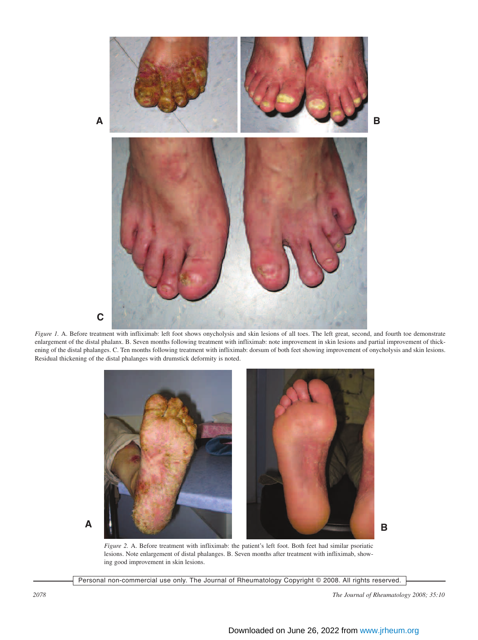

*Figure 1.* A. Before treatment with infliximab: left foot shows onycholysis and skin lesions of all toes. The left great, second, and fourth toe demonstrate enlargement of the distal phalanx. B. Seven months following treatment with infliximab: note improvement in skin lesions and partial improvement of thickening of the distal phalanges. C. Ten months following treatment with infliximab: dorsum of both feet showing improvement of onycholysis and skin lesions. Residual thickening of the distal phalanges with drumstick deformity is noted.



**B**

*Figure 2.* A. Before treatment with infliximab: the patient's left foot. Both feet had similar psoriatic lesions. Note enlargement of distal phalanges. B. Seven months after treatment with infliximab, showing good improvement in skin lesions.

Personal non-commercial use only. The Journal of Rheumatology Copyright © 2008. All rights reserved.

*2078 The Journal of Rheumatology 2008; 35:10*

**A**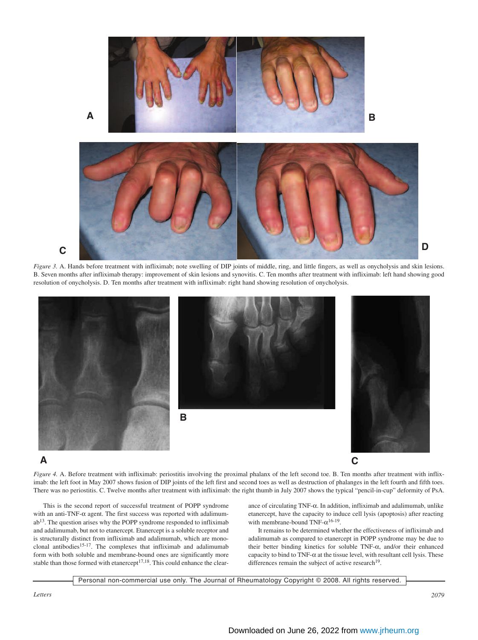

*Figure 3.* A. Hands before treatment with infliximab; note swelling of DIP joints of middle, ring, and little fingers, as well as onycholysis and skin lesions. B. Seven months after infliximab therapy: improvement of skin lesions and synovitis. C. Ten months after treatment with infliximab: left hand showing good resolution of onycholysis. D. Ten months after treatment with infliximab: right hand showing resolution of onycholysis.



# **A**

*Figure 4.* A. Before treatment with infliximab: periostitis involving the proximal phalanx of the left second toe. B. Ten months after treatment with infliximab: the left foot in May 2007 shows fusion of DIP joints of the left first and second toes as well as destruction of phalanges in the left fourth and fifth toes. There was no periostitis. C. Twelve months after treatment with infliximab: the right thumb in July 2007 shows the typical "pencil-in-cup" deformity of PsA.

This is the second report of successful treatment of POPP syndrome with an anti-TNF- $\alpha$  agent. The first success was reported with adalimum $ab<sup>13</sup>$ . The question arises why the POPP syndrome responded to infliximab and adalimumab, but not to etanercept. Etanercept is a soluble receptor and is structurally distinct from infliximab and adalimumab, which are monoclonal antibodies $15-17$ . The complexes that infliximab and adalimumab form with both soluble and membrane-bound ones are significantly more stable than those formed with etanercept<sup>17,18</sup>. This could enhance the clearance of circulating TNF-α. In addition, infliximab and adalimumab, unlike etanercept, have the capacity to induce cell lysis (apoptosis) after reacting with membrane-bound TNF- $\alpha^{16-19}$ .

It remains to be determined whether the effectiveness of infliximab and adalimumab as compared to etanercept in POPP syndrome may be due to their better binding kinetics for soluble TNF-α, and/or their enhanced capacity to bind to  $TNF-\alpha$  at the tissue level, with resultant cell lysis. These differences remain the subject of active research $19$ .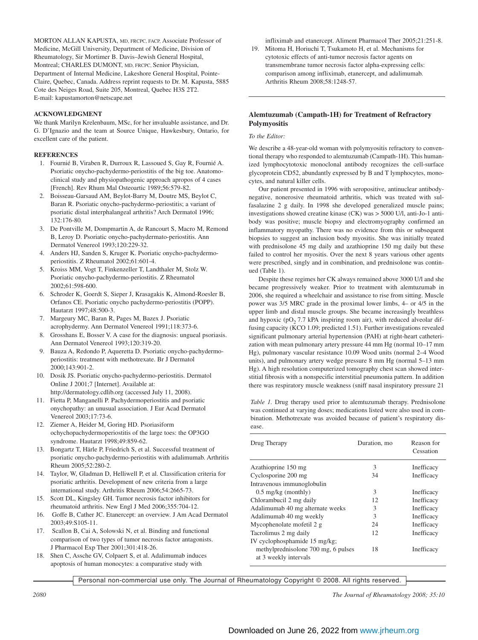MORTON ALLAN KAPUSTA, MD, FRCPC, FACP, Associate Professor of Medicine, McGill University, Department of Medicine, Division of Rheumatology, Sir Mortimer B. Davis–Jewish General Hospital, Montreal; CHARLES DUMONT, MD, FRCPC, Senior Physician, Department of Internal Medicine, Lakeshore General Hospital, Pointe-Claire, Quebec, Canada. Address reprint requests to Dr. M. Kapusta, 5885 Cote des Neiges Road, Suite 205, Montreal, Quebec H3S 2T2. E-mail: kapustamorton@netscape.net

# **ACKNOWLEDGMENT**

We thank Marilyn Krelenbaum, MSc, for her invaluable assistance, and Dr. G. D'Ignazio and the team at Source Unique, Hawkesbury, Ontario, for excellent care of the patient.

# **REFERENCES**

- 1. Fournié B, Viraben R, Durroux R, Lassoued S, Gay R, Fournié A. Psoriatic onycho-pachydermo-periostitis of the big toe. Anatomoclinical study and physiopathogenic approach apropos of 4 cases [French]. Rev Rhum Mal Osteoartic 1989;56:579-82.
- 2. Boisseau-Garsaud AM, Beylot-Barry M, Doutre MS, Beylot C, Baran R. Psoriatic onycho-pachydermo-periostitis; a variant of psoriatic distal interphalangeal arthritis? Arch Dermatol 1996; 132:176-80.
- 3. De Pontville M, Dompmartin A, de Rancourt S, Macro M, Remond B, Leroy D. Psoriatic onycho-pachydermato-periostitis. Ann Dermatol Venereol 1993;120:229-32.
- 4. Anders HJ, Sanden S, Kruger K. Psoriatic onycho-pachydermoperiostitis. Z Rheumatol 2002;61:601-4.
- 5. Kroiss MM, Vogt T, Finkenzeller T, Landthaler M, Stolz W. Psoriatic onycho-pachydermo-periostitis. Z Rheumatol 2002;61:598-600.
- 6. Schroder K, Goerdt S, Sieper J, Krasagakis K, Almond-Roesler B, Orfanos CE. Psoriatic onycho pachydermo-periostitis (POPP). Hautarzt 1997;48:500-3.
- 7. Margeury MC, Baran R, Pages M, Bazex J. Psoriatic acrophydermy. Ann Dermatol Venereol 1991;118:373-6.
- Grosshans E, Bosser V. A case for the diagnosis: ungueal psoriasis. Ann Dermatol Venereol 1993;120:319-20.
- 9. Bauza A, Redondo P, Aqueretta D. Psoriatic onycho-pachydermoperiostitis: treatment with methotrexate. Br J Dermatol 2000;143:901-2.
- 10. Dosik JS. Psoriatic onycho-pachydermo-periostitis. Dermatol Online J 2001;7 [Internet]. Available at: http://dermatology.cdlib.org (accessed July 11, 2008).
- 11. Fietta P, Manganelli P. Pachydermoperiostitis and psoriatic onychopathy: an unusual association. J Eur Acad Dermatol Venereol 2003;17:73-6.
- 12. Ziemer A, Heider M, Goring HD. Psoriasiform ochychopachydermoperiostitis of the large toes: the OP3GO syndrome. Hautarzt 1998;49:859-62.
- 13. Bongartz T, Härle P, Friedrich S, et al. Successful treatment of psoriatic onycho-pachydermo-periostitis with adalimumab. Arthritis Rheum 2005;52:280-2.
- 14. Taylor, W, Gladman D, Helliwell P, et al. Classification criteria for psoriatic arthritis. Development of new criteria from a large international study. Arthritis Rheum 2006;54:2665-73.
- 15. Scott DL, Kingsley GH. Tumor necrosis factor inhibitors for rheumatoid arthritis. New Engl J Med 2006;355:704-12.
- 16. Goffe B, Cather JC. Etanercept: an overview. J Am Acad Dermatol 2003;49:S105-11.
- 17. Scallon B, Cai A, Solowski N, et al. Binding and functional comparison of two types of tumor necrosis factor antagonists. J Pharmacol Exp Ther 2001;301:418-26.
- 18. Shen C, Assche GV, Colpaert S, et al. Adalimumab induces apoptosis of human monocytes: a comparative study with

infliximab and etanercept. Aliment Pharmacol Ther 2005;21:251-8. 19. Mitoma H, Horiuchi T, Tsukamoto H, et al. Mechanisms for

cytotoxic effects of anti-tumor necrosis factor agents on transmembrane tumor necrosis factor alpha-expressing cells: comparison among infliximab, etanercept, and adalimumab. Arthritis Rheum 2008;58:1248-57.

# **Alemtuzumab (Campath-1H) for Treatment of Refractory Polymyositis**

# *To the Editor:*

We describe a 48-year-old woman with polymyositis refractory to conventional therapy who responded to alemtuzumab (Campath-1H). This humanized lymphocytotoxic monoclonal antibody recognizes the cell-surface glycoprotein CD52, abundantly expressed by B and T lymphocytes, monocytes, and natural killer cells.

Our patient presented in 1996 with seropositive, antinuclear antibodynegative, nonerosive rheumatoid arthritis, which was treated with sulfasalazine 2 g daily. In 1998 she developed generalized muscle pains; investigations showed creatine kinase (CK) was > 5000 U/l, anti-Jo-1 antibody was positive; muscle biopsy and electromyography confirmed an inflammatory myopathy. There was no evidence from this or subsequent biopsies to suggest an inclusion body myositis. She was initially treated with prednisolone 45 mg daily and azathioprine 150 mg daily but these failed to control her myositis. Over the next 8 years various other agents were prescribed, singly and in combination, and prednisolone was continued (Table 1).

Despite these regimes her CK always remained above 3000 U/l and she became progressively weaker. Prior to treatment with alemtuzumab in 2006, she required a wheelchair and assistance to rise from sitting. Muscle power was 3/5 MRC grade in the proximal lower limbs, 4– or 4/5 in the upper limb and distal muscle groups. She became increasingly breathless and hypoxic ( $pO<sub>2</sub>$  7.7 kPA inspiring room air), with reduced alveolar diffusing capacity (KCO 1.09; predicted 1.51). Further investigations revealed significant pulmonary arterial hypertension (PAH) at right-heart catheterization with mean pulmonary artery pressure 44 mm Hg (normal 10–17 mm Hg), pulmonary vascular resistance 10.09 Wood units (normal 2–4 Wood units), and pulmonary artery wedge pressure 8 mm Hg (normal 5–13 mm Hg). A high resolution computerized tomography chest scan showed interstitial fibrosis with a nonspecific interstitial pneumonia pattern. In addition there was respiratory muscle weakness (sniff nasal inspiratory pressure 21

*Table 1.* Drug therapy used prior to alemtuzumab therapy. Prednisolone was continued at varying doses; medications listed were also used in combination. Methotrexate was avoided because of patient's respiratory disease.

| Drug Therapy                                                 | Duration, mo | Reason for<br>Cessation |
|--------------------------------------------------------------|--------------|-------------------------|
| Azathioprine 150 mg                                          | 3            | Inefficacy              |
| Cyclosporine 200 mg                                          | 34           | Inefficacy              |
| Intravenous immunoglobulin                                   |              |                         |
| $0.5 \text{ mg/kg}$ (monthly)                                | 3            | Inefficacy              |
| Chlorambucil 2 mg daily                                      | 12           | Inefficacy              |
| Adalimumab 40 mg alternate weeks                             | 3            | Inefficacy              |
| Adalimumab 40 mg weekly                                      | 3            | Inefficacy              |
| Mycophenolate mofetil 2 g                                    | 24           | Inefficacy              |
| Tacrolimus 2 mg daily                                        | 12           | Inefficacy              |
| IV cyclophosphamide 15 mg/kg;                                |              |                         |
| methylprednisolone 700 mg, 6 pulses<br>at 3 weekly intervals | 18           | Inefficacy              |

Personal non-commercial use only. The Journal of Rheumatology Copyright © 2008. All rights reserved.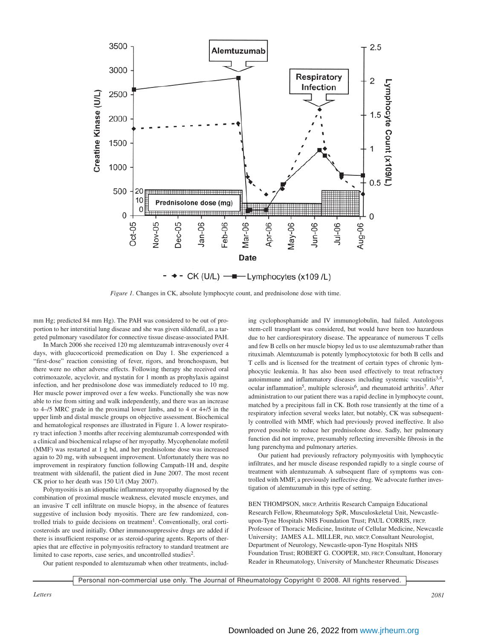

*Figure 1.* Changes in CK, absolute lymphocyte count, and prednisolone dose with time.

mm Hg; predicted 84 mm Hg). The PAH was considered to be out of proportion to her interstitial lung disease and she was given sildenafil, as a targeted pulmonary vasodilator for connective tissue disease-associated PAH.

In March 2006 she received 120 mg alemtuzumab intravenously over 4 days, with glucocorticoid premedication on Day 1. She experienced a "first-dose" reaction consisting of fever, rigors, and bronchospasm, but there were no other adverse effects. Following therapy she received oral cotrimoxazole, acyclovir, and nystatin for 1 month as prophylaxis against infection, and her prednisolone dose was immediately reduced to 10 mg. Her muscle power improved over a few weeks. Functionally she was now able to rise from sitting and walk independently, and there was an increase to 4–/5 MRC grade in the proximal lower limbs, and to 4 or 4+/5 in the upper limb and distal muscle groups on objective assessment. Biochemical and hematological responses are illustrated in Figure 1. A lower respiratory tract infection 3 months after receiving alemtuzumab corresponded with a clinical and biochemical relapse of her myopathy. Mycophenolate mofetil (MMF) was restarted at 1 g bd, and her prednisolone dose was increased again to 20 mg, with subsequent improvement. Unfortunately there was no improvement in respiratory function following Campath-1H and, despite treatment with sildenafil, the patient died in June 2007. The most recent CK prior to her death was 150 U/l (May 2007).

Polymyositis is an idiopathic inflammatory myopathy diagnosed by the combination of proximal muscle weakness, elevated muscle enzymes, and an invasive T cell infiltrate on muscle biopsy, in the absence of features suggestive of inclusion body myositis. There are few randomized, controlled trials to guide decisions on treatment<sup>1</sup>. Conventionally, oral corticosteroids are used initially. Other immunosuppressive drugs are added if there is insufficient response or as steroid-sparing agents. Reports of therapies that are effective in polymyositis refractory to standard treatment are limited to case reports, case series, and uncontrolled studies<sup>2</sup>.

Our patient responded to alemtuzumab when other treatments, includ-

ing cyclophosphamide and IV immunoglobulin, had failed. Autologous stem-cell transplant was considered, but would have been too hazardous due to her cardiorespiratory disease. The appearance of numerous T cells and few B cells on her muscle biopsy led us to use alemtuzumab rather than rituximab. Alemtuzumab is potently lymphocytotoxic for both B cells and T cells and is licensed for the treatment of certain types of chronic lymphocytic leukemia. It has also been used effectively to treat refractory autoimmune and inflammatory diseases including systemic vasculitis $3,4$ , ocular inflammation<sup>5</sup>, multiple sclerosis<sup>6</sup>, and rheumatoid arthritis<sup>7</sup>. After administration to our patient there was a rapid decline in lymphocyte count, matched by a precipitous fall in CK. Both rose transiently at the time of a respiratory infection several weeks later, but notably, CK was subsequently controlled with MMF, which had previously proved ineffective. It also proved possible to reduce her prednisolone dose. Sadly, her pulmonary function did not improve, presumably reflecting irreversible fibrosis in the lung parenchyma and pulmonary arteries.

Our patient had previously refractory polymyositis with lymphocytic infiltrates, and her muscle disease responded rapidly to a single course of treatment with alemtuzumab. A subsequent flare of symptoms was controlled with MMF, a previously ineffective drug. We advocate further investigation of alemtuzumab in this type of setting.

BEN THOMPSON, MRCP, Arthritis Research Campaign Educational Research Fellow, Rheumatology SpR, Musculoskeletal Unit, Newcastleupon-Tyne Hospitals NHS Foundation Trust; PAUL CORRIS, FRCP, Professor of Thoracic Medicine, Institute of Cellular Medicine, Newcastle University; JAMES A.L. MILLER, PhD, MRCP, Consultant Neurologist, Department of Neurology, Newcastle-upon-Tyne Hospitals NHS Foundation Trust; ROBERT G. COOPER, MD, FRCP, Consultant, Honorary Reader in Rheumatology, University of Manchester Rheumatic Diseases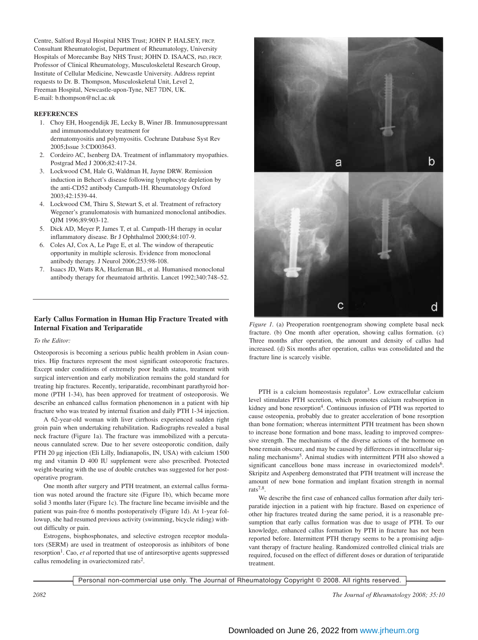Centre, Salford Royal Hospital NHS Trust; JOHN P. HALSEY, FRCP, Consultant Rheumatologist, Department of Rheumatology, University Hospitals of Morecambe Bay NHS Trust; JOHN D. ISAACS, PhD, FRCP, Professor of Clinical Rheumatology, Musculoskeletal Research Group, Institute of Cellular Medicine, Newcastle University. Address reprint requests to Dr. B. Thompson, Musculoskeletal Unit, Level 2, Freeman Hospital, Newcastle-upon-Tyne, NE7 7DN, UK. E-mail: b.thompson@ncl.ac.uk

# **REFERENCES**

- 1. Choy EH, Hoogendijk JE, Lecky B, Winer JB. Immunosuppressant and immunomodulatory treatment for dermatomyositis and polymyositis. Cochrane Database Syst Rev 2005;Issue 3:CD003643.
- 2. Cordeiro AC, Isenberg DA. Treatment of inflammatory myopathies. Postgrad Med J 2006;82:417-24.
- 3. Lockwood CM, Hale G, Waldman H, Jayne DRW. Remission induction in Behcet's disease following lymphocyte depletion by the anti-CD52 antibody Campath-1H. Rheumatology Oxford 2003;42:1539-44.
- 4. Lockwood CM, Thiru S, Stewart S, et al. Treatment of refractory Wegener's granulomatosis with humanized monoclonal antibodies. QJM 1996;89:903-12.
- 5. Dick AD, Meyer P, James T, et al. Campath-1H therapy in ocular inflammatory disease. Br J Ophthalmol 2000;84:107-9.
- 6. Coles AJ, Cox A, Le Page E, et al. The window of therapeutic opportunity in multiple sclerosis. Evidence from monoclonal antibody therapy. J Neurol 2006;253:98-108.
- 7. Isaacs JD, Watts RA, Hazleman BL, et al. Humanised monoclonal antibody therapy for rheumatoid arthritis. Lancet 1992;340:748–52.

# **Early Callus Formation in Human Hip Fracture Treated with Internal Fixation and Teriparatide**

#### *To the Editor:*

Osteoporosis is becoming a serious public health problem in Asian countries. Hip fractures represent the most significant osteoporotic fractures. Except under conditions of extremely poor health status, treatment with surgical intervention and early mobilization remains the gold standard for treating hip fractures. Recently, teriparatide, recombinant parathyroid hormone (PTH 1-34), has been approved for treatment of osteoporosis. We describe an enhanced callus formation phenomenon in a patient with hip fracture who was treated by internal fixation and daily PTH 1-34 injection.

A 62-year-old woman with liver cirrhosis experienced sudden right groin pain when undertaking rehabilitation. Radiographs revealed a basal neck fracture (Figure 1a). The fracture was immobilized with a percutaneous cannulated screw. Due to her severe osteoporotic condition, daily PTH 20 µg injection (Eli Lilly, Indianapolis, IN, USA) with calcium 1500 mg and vitamin D 400 IU supplement were also prescribed. Protected weight-bearing with the use of double crutches was suggested for her postoperative program.

One month after surgery and PTH treatment, an external callus formation was noted around the fracture site (Figure 1b), which became more solid 3 months later (Figure 1c). The fracture line became invisible and the patient was pain-free 6 months postoperatively (Figure 1d). At 1-year followup, she had resumed previous activity (swimming, bicycle riding) without difficulty or pain.

Estrogens, bisphosphonates, and selective estrogen receptor modulators (SERM) are used in treatment of osteoporosis as inhibitors of bone resorption<sup>1</sup>. Cao, *et al* reported that use of antiresorptive agents suppressed callus remodeling in ovariectomized rats2.



*Figure 1.* (a) Preoperation roentgenogram showing complete basal neck fracture. (b) One month after operation, showing callus formation. (c) Three months after operation, the amount and density of callus had increased. (d) Six months after operation, callus was consolidated and the fracture line is scarcely visible.

PTH is a calcium homeostasis regulator<sup>3</sup>. Low extracellular calcium level stimulates PTH secretion, which promotes calcium reabsorption in kidney and bone resorption<sup>4</sup>. Continuous infusion of PTH was reported to cause osteopenia, probably due to greater acceleration of bone resorption than bone formation; whereas intermittent PTH treatment has been shown to increase bone formation and bone mass, leading to improved compressive strength. The mechanisms of the diverse actions of the hormone on bone remain obscure, and may be caused by differences in intracellular signaling mechanisms<sup>5</sup>. Animal studies with intermittent PTH also showed a significant cancellous bone mass increase in ovariectomized models<sup>6</sup>. Skripitz and Aspenberg demonstrated that PTH treatment will increase the amount of new bone formation and implant fixation strength in normal rats7,8.

We describe the first case of enhanced callus formation after daily teriparatide injection in a patient with hip fracture. Based on experience of other hip fractures treated during the same period, it is a reasonable presumption that early callus formation was due to usage of PTH. To our knowledge, enhanced callus formation by PTH in fracture has not been reported before. Intermittent PTH therapy seems to be a promising adjuvant therapy of fracture healing. Randomized controlled clinical trials are required, focused on the effect of different doses or duration of teriparatide treatment.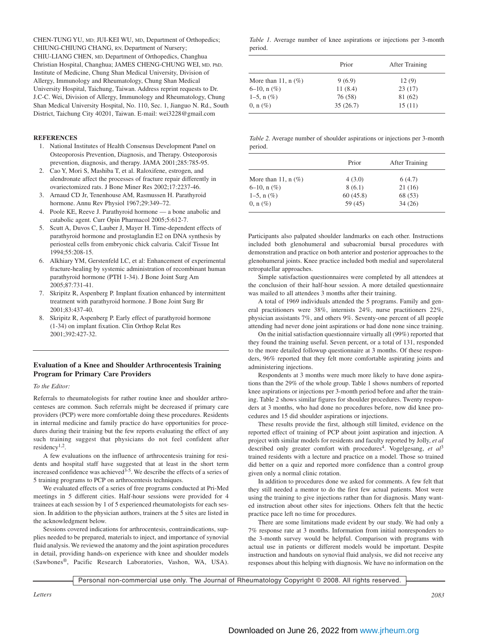CHEN-TUNG YU, MD; JUI-KEI WU, MD, Department of Orthopedics; CHIUNG-CHIUNG CHANG, RN, Department of Nursery; CHIU-LIANG CHEN, MD, Department of Orthopedics, Changhua Christian Hospital, Changhua; JAMES CHENG-CHUNG WEI, MD, PhD, Institute of Medicine, Chung Shan Medical University, Division of Allergy, Immunology and Rheumatology, Chung Shan Medical University Hospital, Taichung, Taiwan. Address reprint requests to Dr. J.C-C. Wei, Division of Allergy, Immunology and Rheumatology, Chung Shan Medical University Hospital, No. 110, Sec. 1, Jianguo N. Rd., South District, Taichung City 40201, Taiwan. E-mail: wei3228@gmail.com

#### **REFERENCES**

- 1. National Institutes of Health Consensus Development Panel on Osteoporosis Prevention, Diagnosis, and Therapy. Osteoporosis prevention, diagnosis, and therapy. JAMA 2001;285:785-95.
- 2. Cao Y, Mori S, Mashiba T, et al. Raloxifene, estrogen, and alendronate affect the processes of fracture repair differently in ovariectomized rats. J Bone Miner Res 2002;17:2237-46.
- 3. Arnaud CD Jr, Tenenhouse AM, Rasmussen H. Parathyroid hormone. Annu Rev Physiol 1967;29:349–72.
- 4. Poole KE, Reeve J. Parathyroid hormone a bone anabolic and catabolic agent. Curr Opin Pharmacol 2005;5:612-7.
- 5. Scutt A, Duvos C, Lauber J, Mayer H. Time-dependent effects of parathyroid hormone and prostaglandin E2 on DNA synthesis by periosteal cells from embryonic chick calvaria. Calcif Tissue Int 1994;55:208-15.
- 6. Alkhiary YM, Gerstenfeld LC, et al: Enhancement of experimental fracture-healing by systemic administration of recombinant human parathyroid hormone (PTH 1-34). J Bone Joint Surg Am 2005;87:731-41.
- 7. Skripitz R, Aspenberg P. Implant fixation enhanced by intermittent treatment with parathyroid hormone. J Bone Joint Surg Br 2001;83:437-40.
- 8. Skripitz R, Aspenberg P. Early effect of parathyroid hormone (1-34) on implant fixation. Clin Orthop Relat Res 2001;392:427-32.

# **Evaluation of a Knee and Shoulder Arthrocentesis Training Program for Primary Care Providers**

*To the Editor:*

Referrals to rheumatologists for rather routine knee and shoulder arthrocenteses are common. Such referrals might be decreased if primary care providers (PCP) were more comfortable doing these procedures. Residents in internal medicine and family practice do have opportunities for procedures during their training but the few reports evaluating the effect of any such training suggest that physicians do not feel confident after residency1,2.

A few evaluations on the influence of arthrocentesis training for residents and hospital staff have suggested that at least in the short term increased confidence was achieved<sup>3-5</sup>. We describe the effects of a series of 5 training programs to PCP on arthrocentesis techniques.

We evaluated effects of a series of free programs conducted at Pri-Med meetings in 5 different cities. Half-hour sessions were provided for 4 trainees at each session by 1 of 5 experienced rheumatologists for each session. In addition to the physician authors, trainers at the 5 sites are listed in the acknowledgment below.

Sessions covered indications for arthrocentesis, contraindications, supplies needed to be prepared, materials to inject, and importance of synovial fluid analysis. We reviewed the anatomy and the joint aspiration procedures in detail, providing hands-on experience with knee and shoulder models (Sawbones®, Pacific Research Laboratories, Vashon, WA, USA).

|         |  |  | <i>Table 1.</i> Average number of knee aspirations or injections per 3-month |  |  |
|---------|--|--|------------------------------------------------------------------------------|--|--|
| period. |  |  |                                                                              |  |  |

|                       | Prior    | After Training |
|-----------------------|----------|----------------|
| More than 11, $n$ (%) | 9(6.9)   | 12(9)          |
| $6-10$ , n $(\%)$     | 11(8.4)  | 23(17)         |
| $1-5$ , n $(\%)$      | 76 (58)  | 81 (62)        |
| $0, n (\%)$           | 35(26.7) | 15(11)         |

*Table 2.* Average number of shoulder aspirations or injections per 3-month period.

| Prior    | After Training |
|----------|----------------|
| 4(3.0)   | 6(4.7)         |
| 8(6.1)   | 21(16)         |
| 60(45.8) | 68 (53)        |
| 59 (45)  | 34(26)         |
|          |                |

Participants also palpated shoulder landmarks on each other. Instructions included both glenohumeral and subacromial bursal procedures with demonstration and practice on both anterior and posterior approaches to the glenohumeral joints. Knee practice included both medial and superolateral retropatellar approaches.

Simple satisfaction questionnaires were completed by all attendees at the conclusion of their half-hour session. A more detailed questionnaire was mailed to all attendees 3 months after their training.

A total of 1969 individuals attended the 5 programs. Family and general practitioners were 38%, internists 24%, nurse practitioners 22%, physician assistants 7%, and others 9%. Seventy-one percent of all people attending had never done joint aspirations or had done none since training.

On the initial satisfaction questionnaire virtually all (99%) reported that they found the training useful. Seven percent, or a total of 131, responded to the more detailed followup questionnaire at 3 months. Of these responders, 96% reported that they felt more comfortable aspirating joints and administering injections.

Respondents at 3 months were much more likely to have done aspirations than the 29% of the whole group. Table 1 shows numbers of reported knee aspirations or injections per 3-month period before and after the training. Table 2 shows similar figures for shoulder procedures. Twenty responders at 3 months, who had done no procedures before, now did knee procedures and 15 did shoulder aspirations or injections.

These results provide the first, although still limited, evidence on the reported effect of training of PCP about joint aspiration and injection. A project with similar models for residents and faculty reported by Jolly, *et al* described only greater comfort with procedures<sup>4</sup>. Vogelgesang, *et al*<sup>3</sup> trained residents with a lecture and practice on a model. Those so trained did better on a quiz and reported more confidence than a control group given only a normal clinic rotation.

In addition to procedures done we asked for comments. A few felt that they still needed a mentor to do the first few actual patients. Most were using the training to give injections rather than for diagnosis. Many wanted instruction about other sites for injections. Others felt that the hectic practice pace left no time for procedures.

There are some limitations made evident by our study. We had only a 7% response rate at 3 months. Information from initial nonresponders to the 3-month survey would be helpful. Comparison with programs with actual use in patients or different models would be important. Despite instruction and handouts on synovial fluid analysis, we did not receive any responses about this helping with diagnosis. We have no information on the